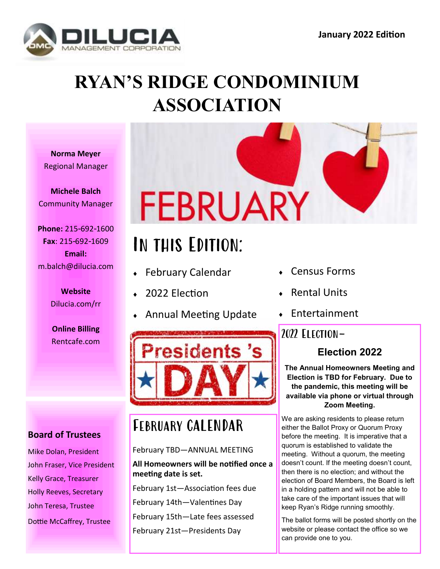

# **RYAN'S RIDGE CONDOMINIUM ASSOCIATION**

**Norma Meyer** Regional Manager

**Michele Balch** Community Manager

**Phone:** 215-692-1600 **Fax**: 215-692-1609 **Email:** m.balch@dilucia.com

> **Website** Dilucia.com/rr

> **Online Billing**

# FEBRUARY

# In this Edition:

- February Calendar
- 2022 Election
- Annual Meeting Update



# February CALENDAR

### February TBD—ANNUAL MEETING

### **All Homeowners will be notified once a meeting date is set.**

February 1st—Association fees due February 14th—Valentines Day February 15th—Late fees assessed February 21st—Presidents Day

- Census Forms
- Rental Units
- Entertainment

## **Election 2022**

**The Annual Homeowners Meeting and Election is TBD for February. Due to the pandemic, this meeting will be available via phone or virtual through Zoom Meeting.** 

We are asking residents to please return either the Ballot Proxy or Quorum Proxy before the meeting. It is imperative that a quorum is established to validate the meeting. Without a quorum, the meeting doesn't count. If the meeting doesn't count, then there is no election; and without the election of Board Members, the Board is left in a holding pattern and will not be able to take care of the important issues that will keep Ryan's Ridge running smoothly.

The ballot forms will be posted shortly on the website or please contact the office so we can provide one to you.

### **Board of Trustees**

Mike Dolan, President John Fraser, Vice President Kelly Grace, Treasurer Holly Reeves, Secretary John Teresa, Trustee Dottie McCaffrey, Trustee